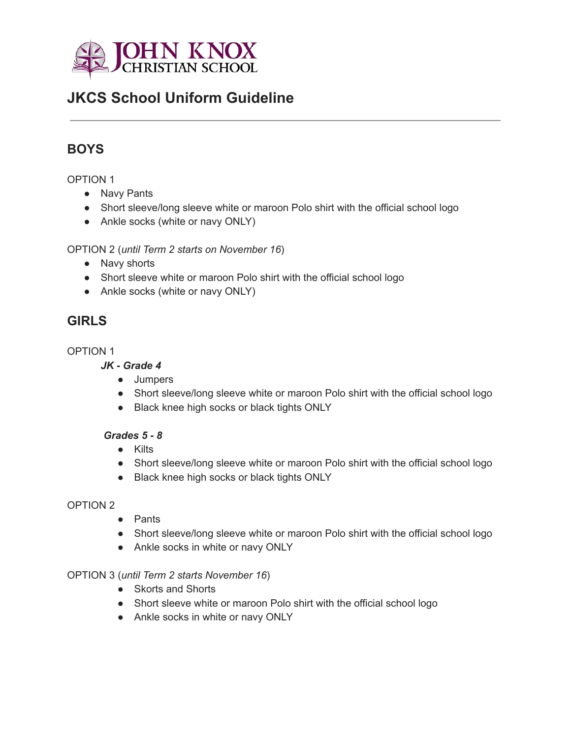

# **JKCS School Uniform Guideline**

## **BOYS**

#### OPTION 1

- Navy Pants
- Short sleeve/long sleeve white or maroon Polo shirt with the official school logo
- Ankle socks (white or navy ONLY)

OPTION 2 (*until Term 2 starts on November 16*)

- Navy shorts
- Short sleeve white or maroon Polo shirt with the official school logo
- Ankle socks (white or navy ONLY)

### **GIRLS**

#### OPTION 1

### *JK - Grade 4*

- Jumpers
- Short sleeve/long sleeve white or maroon Polo shirt with the official school logo
- Black knee high socks or black tights ONLY

#### *Grades 5 - 8*

- Kilts
- Short sleeve/long sleeve white or maroon Polo shirt with the official school logo
- Black knee high socks or black tights ONLY

#### OPTION 2

- Pants
- Short sleeve/long sleeve white or maroon Polo shirt with the official school logo
- Ankle socks in white or navy ONLY

#### OPTION 3 (*until Term 2 starts November 16*)

- Skorts and Shorts
- Short sleeve white or maroon Polo shirt with the official school logo
- Ankle socks in white or navy ONLY